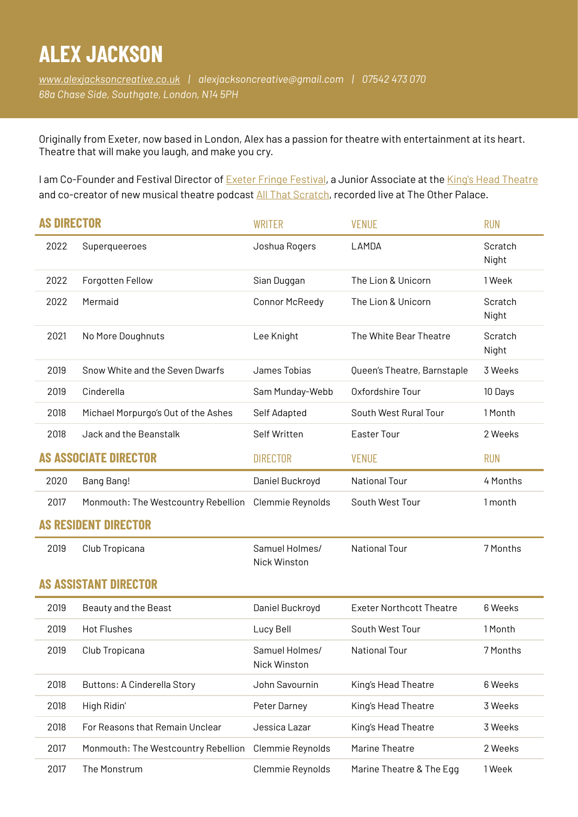## **ALEX JACKSON**

*[www.alexjacksoncreative.co.uk](http://www.alexjacksoncreative.co.uk) | [alexjacksoncreative@gmail.com](mailto:alexjacksoncreative@gmail.com) | 07542 473 070 68a Chase Side, Southgate, London, N14 5PH* 

Originally from Exeter, now based in London, Alex has a passion for theatre with entertainment at its heart. Theatre that will make you laugh, and make you cry.

I am Co-Founder and Festival Director of [Exeter Fringe Festival,](https://www.exefringe.co.uk/) a Junior Associate at the [King's Head Theatre](https://www.kingsheadtheatre.com/) and co-creator of new musical theatre podcast [All That Scratch](https://www.allthatproductions.co.uk/), recorded live at The Other Palace.

| <b>AS DIRECTOR</b>    |                                     | <b>WRITER</b>                  | <b>VENUE</b>                    | <b>RUN</b>       |  |  |
|-----------------------|-------------------------------------|--------------------------------|---------------------------------|------------------|--|--|
| 2022                  | Superqueeroes                       | Joshua Rogers                  | LAMDA                           | Scratch<br>Night |  |  |
| 2022                  | Forgotten Fellow                    | Sian Duggan                    | The Lion & Unicorn              | 1 Week           |  |  |
| 2022                  | Mermaid                             | <b>Connor McReedy</b>          | The Lion & Unicorn              | Scratch<br>Night |  |  |
| 2021                  | No More Doughnuts                   | Lee Knight                     | The White Bear Theatre          | Scratch<br>Night |  |  |
| 2019                  | Snow White and the Seven Dwarfs     | James Tobias                   | Queen's Theatre, Barnstaple     | 3 Weeks          |  |  |
| 2019                  | Cinderella                          | Sam Munday-Webb                | Oxfordshire Tour                | 10 Days          |  |  |
| 2018                  | Michael Morpurgo's Out of the Ashes | Self Adapted                   | South West Rural Tour           | 1 Month          |  |  |
| 2018                  | Jack and the Beanstalk              | Self Written                   | Easter Tour                     | 2 Weeks          |  |  |
| AS Associate director |                                     | <b>DIRECTOR</b>                | <b>VENUE</b>                    | <b>RUN</b>       |  |  |
| 2020                  | Bang Bang!                          | Daniel Buckroyd                | <b>National Tour</b>            | 4 Months         |  |  |
| 2017                  | Monmouth: The Westcountry Rebellion | Clemmie Reynolds               | South West Tour                 | 1 month          |  |  |
| AS RESIDENT DIRECTOR  |                                     |                                |                                 |                  |  |  |
| 2019                  | Club Tropicana                      | Samuel Holmes/<br>Nick Winston | <b>National Tour</b>            | 7 Months         |  |  |
| AS ASSISTANT DIRECTOR |                                     |                                |                                 |                  |  |  |
| 2019                  | Beauty and the Beast                | Daniel Buckroyd                | <b>Exeter Northcott Theatre</b> | 6 Weeks          |  |  |
| 2019                  | <b>Hot Flushes</b>                  | Lucy Bell                      | South West Tour                 | 1 Month          |  |  |
| 2019                  | Club Tropicana                      | Samuel Holmes/<br>Nick Winston | <b>National Tour</b>            | 7 Months         |  |  |
| 2018                  | <b>Buttons: A Cinderella Story</b>  | John Savournin                 | King's Head Theatre             | 6 Weeks          |  |  |
| 2018                  | High Ridin'                         | Peter Darney                   | King's Head Theatre             | 3 Weeks          |  |  |
| 2018                  | For Reasons that Remain Unclear     | Jessica Lazar                  | King's Head Theatre             | 3 Weeks          |  |  |
| 2017                  | Monmouth: The Westcountry Rebellion | Clemmie Reynolds               | Marine Theatre                  | 2 Weeks          |  |  |
| 2017                  | The Monstrum                        | Clemmie Reynolds               | Marine Theatre & The Egg        | 1 Week           |  |  |